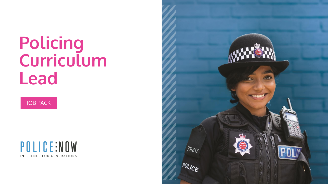### **Policing Curriculum Lead**





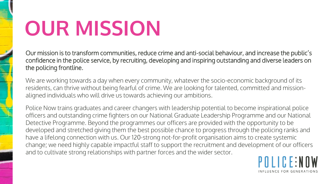### **OUR MISSION**

Our mission is to transform communities, reduce crime and anti-social behaviour, and increase the public's confidence in the police service, by recruiting, developing and inspiring outstanding and diverse leaders on the policing frontline.

We are working towards a day when every community, whatever the socio-economic background of its residents, can thrive without being fearful of crime. We are looking for talented, committed and missionaligned individuals who will drive us towards achieving our ambitions.

Police Now trains graduates and career changers with leadership potential to become inspirational police officers and outstanding crime fighters on our National Graduate Leadership Programme and our National Detective Programme. Beyond the programmes our officers are provided with the opportunity to be developed and stretched giving them the best possible chance to progress through the policing ranks and have a lifelong connection with us. Our 120-strong not-for-profit organisation aims to create systemic change; we need highly capable impactful staff to support the recruitment and development of our officers and to cultivate strong relationships with partner forces and the wider sector.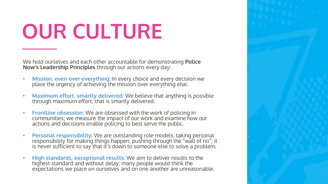### **OUR CULTURE**

We hold ourselves and each other accountable for demonstrating **Police Now's Leadership Principles** through our actions every day:

- **Mission, even over everything:** In every choice and every decision we place the urgency of achieving the mission over everything else.
- **Maximum effort, smartly delivered:** We believe that anything is possible through maximum effort, that is smartly delivered.
- **Frontline obsession:** We are obsessed with the work of policing in communities; we measure the impact of our work and examine how our actions and decisions enable policing to best serve the public.
- **Personal responsibility:** We are outstanding role models, taking personal responsibility for making things happen, pushing through the "wall of no"; it is never sufficient to say that it's down to someone else to solve a problem.
- **High standards, exceptional results:** We aim to deliver results to the highest standard and without delay; many people would think the expectations we place on ourselves and on one another are unreasonable.

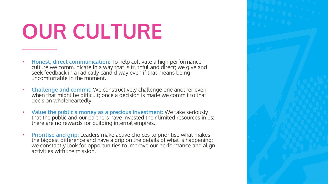## **OUR CULTURE**

- **Honest, direct communication:** To help cultivate a high-performance culture we communicate in a way that is truthful and direct; we give and seek feedback in a radically candid way even if that means being uncomfortable in the moment.
- **Challenge and commit:** We constructively challenge one another even when that might be difficult; once a decision is made we commit to that decision wholeheartedly.
- **Value the public's money as a precious investment:** We take seriously that the public and our partners have invested their limited resources in us; there are no rewards for building internal empires.
- **Prioritise and grip:** Leaders make active choices to prioritise what makes the biggest difference and have a grip on the details of what is happening; we constantly look for opportunities to improve our performance and align activities with the mission.

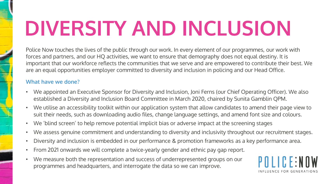## **DIVERSITY AND INCLUSION**

Police Now touches the lives of the public through our work. In every element of our programmes, our work with forces and partners, and our HQ activities, we want to ensure that demography does not equal destiny. It is important that our workforce reflects the communities that we serve and are empowered to contribute their best. We are an equal opportunities employer committed to diversity and inclusion in policing and our Head Office.

### **What have we done?**

- We appointed an Executive Sponsor for Diversity and Inclusion, Joni Ferns (our Chief Operating Officer). We also established a Diversity and Inclusion Board Committee in March 2020, chaired by Sunita Gamblin QPM.
- We utilise an accessibility toolkit within our application system that allow candidates to amend their page view to suit their needs, such as downloading audio files, change language settings, and amend font size and colours.
- We 'blind screen' to help remove potential implicit bias or adverse impact at the screening stages
- We assess genuine commitment and understanding to diversity and inclusivity throughout our recruitment stages.
- Diversity and inclusion is embedded in our performance & promotion frameworks as a key performance area.
- From 2021 onwards we will complete a twice-yearly gender and ethnic pay gap report.
- We measure both the representation and success of underrepresented groups on our programmes and headquarters, and interrogate the data so we can improve.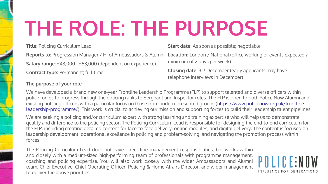### **THE ROLE: THE PURPOSE**

**Title:** Policing Curriculum Lead

**Start date:** As soon as possible; negotiable

**Salary range:** £43,000 - £53,000 (dependent on experience)

**Contract type:** Permanent; full-time

#### **The purpose of your role**

Reports to: Progression Manager / H. of Ambassadors & Alumni Location: London / National (office working or events expected a minimum of 2 days per week)

> **Closing date:** 31<sup>st</sup> December (early applicants may have telephone interviews in December)

We have developed a brand new one-year Frontline Leadership Programme (FLP) to support talented and diverse officers within police forces to progress through the policing ranks to Sergeant and Inspector roles. The FLP is open to both Police Now Alumni and existing policing officers with a particular focus on those from underrepresented groups (https://www.policenow.org.uk/frontline[leadership-programme/\). This work is crucial to achieving our mission and supporting forces to build their leadership talent pipeline](http://#)s.

We are seeking a policing and/or curriculum expert with strong learning and training expertise who will help us to demonstrate quality and difference to the policing sector. The Policing Curriculum Lead is responsible for designing the end-to-end curriculum for the FLP, including creating detailed content for face-to-face delivery, online modules, and digital delivery. The content is focused on leadership development, operational excellence in policing and problem-solving, and navigating the promotion process within forces.

The Policing Curriculum Lead does not have direct line management responsibilities, but works within and closely with a medium-sized high-performing team of professionals with programme management, coaching and policing expertise. You will also work closely with the wider Ambassadors and Alumni team, Chief Executive, Chief Operating Officer, Policing & Home Affairs Director, and wider management to deliver the above priorities.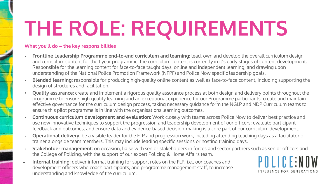# **THE ROLE: REQUIREMENTS**

#### **What you'll do – the key responsibilities**

- **Frontline Leadership Programme end-to-end curriculum and learning:** lead, own and develop the overall curriculum design and curriculum content for the 1-year programme; the curriculum content is currently in it's early stages of content development. Responsible for the learning content for face-to-face taught days, online and independent learning, and drawing upon understanding of the National Police Promotion Framework (NPPF) and Police Now specific leadership goals.
- **Blended learning:** responsible for producing high-quality online content as well as face-to-face content, including supporting the design of structures and facilitation.
- **Quality assurance:** create and implement a rigorous quality assurance process at both design and delivery points throughout the programme to ensure high-quality learning and an exceptional experience for our Programme participants; create and maintain effective governance for the curriculum design process, taking necessary guidance form the NGLP and NDP Curriculum teams to ensure this pilot programme is in line with the organisations learning outcomes.
- **Continuous curriculum development and evaluation:** Work closely with teams across Police Now to deliver best practice and use new innovative techniques to support the progression and leadership development of our officers; evaluate participant feedback and outcomes, and ensure data and evidence-based decision-making is a core part of our curriculum development.
- **Operational delivery:** be a visible leader for the FLP and progression work, including attending teaching days as a facilitator of trainer alongside team members. This may include leading specific sessions or hosting training days.
- **Stakeholder management:** on occasion, liaise with senior stakeholders in forces and sector partners such as senior officers and the College of Policing, with the support of our expert Policing & Home Affairs team.
- **Internal training:** deliver informal training for support roles on the FLP, i.e., our coaches and development officers who coach participants, and programme management staff, to increase understanding and knowledge of the curriculum.

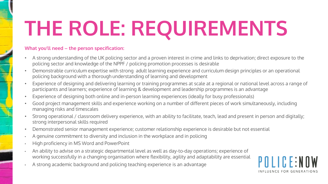# **THE ROLE: REQUIREMENTS**

#### **What you'll need – the person specification:**

- A strong understanding of the UK policing sector and a proven interest in crime and links to deprivation; direct exposure to the policing sector and knowledge of the NPPF / policing promotion processes is desirable
- Demonstrable curriculum expertise with strong adult learning experience and curriculum design principles or an operational policing background with a thorough understanding of learning and development
- Experience of designing and delivering learning or training programmes at scale at a regional or national level across a range of participants and learners; experience of learning & development and leadership programmes is an advantage
- Experience of designing both online and in-person learning experiences (ideally for busy professionals)
- Good project management skills and experience working on a number of different pieces of work simultaneously, including managing risks and timescales
- Strong operational / classroom delivery experience, with an ability to facilitate, teach, lead and present in person and digitally; strong interpersonal skills required
- Demonstrated senior management experience; customer relationship experience is desirable but not essential
- A genuine commitment to diversity and inclusion in the workplace and in policing
- High proficiency in MS Word and PowerPoint
- An ability to advise on a strategic departmental level as well as day-to-day operations; experience of working successfully in a changing organisation where flexibility, agility and adaptability are essential
- A strong academic background and policing teaching experience is an advantage

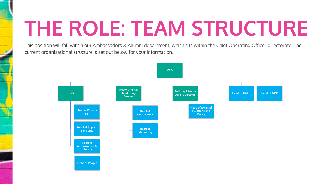### **THE ROLE: TEAM STRUCTURE**

This position will fall within our Ambassadors & Alumni department, which sits within the Chief Operating Officer directorate. The current organisational structure is set out below for your information.

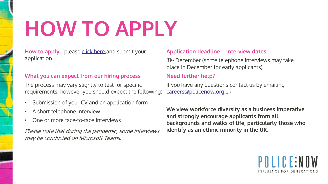## **HOW TO APPLY**

**How to apply -** please [click here](http://#) and submit your application

### **What you can expect from our hiring process**

The process may vary slightly to test for specific requirements, however you should expect the following:

- Submission of your CV and an application form
- A short telephone interview
- One or more face-to-face interviews

Please note that during the pandemic, some interviews may be conducted on Microsoft Teams.

### **Application deadline – interview dates:**

31st December (some telephone interviews may take place in December for early applicants)

### **Need further help?**

If you have any questions contact us by emailing [careers@policenow.org.uk](http://#).

**We view workforce diversity as a business imperative and strongly encourage applicants from all backgrounds and walks of life, particularly those who identify as an ethnic minority in the UK.**